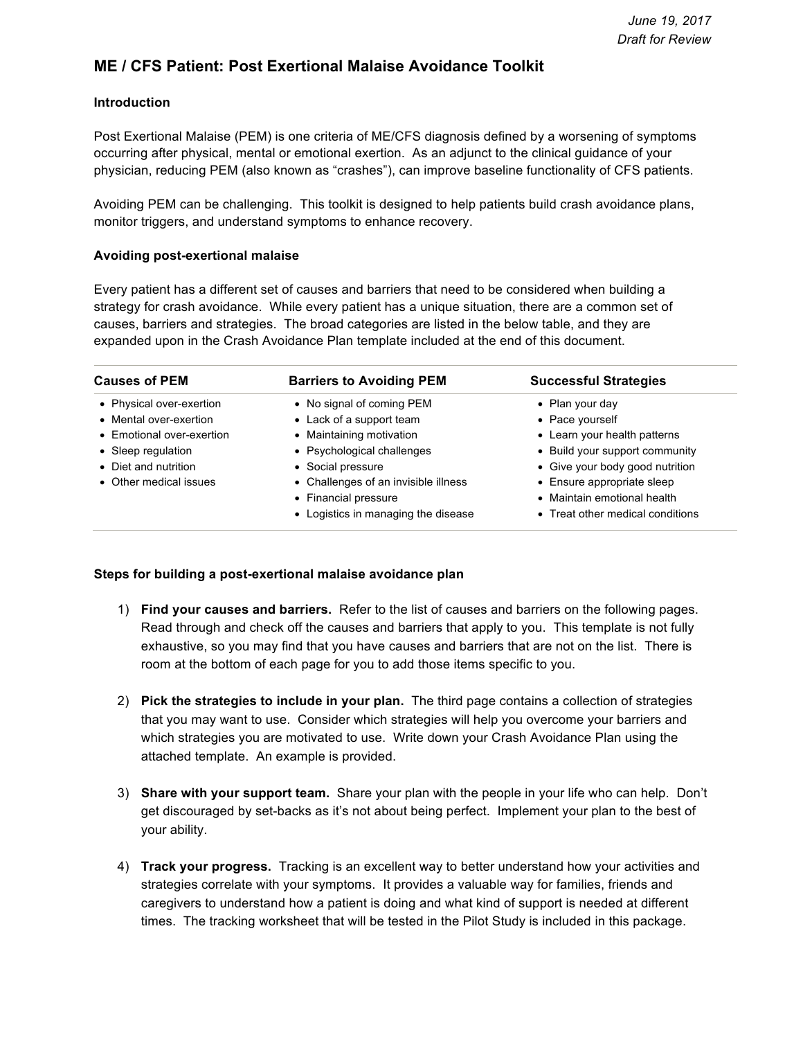### **ME / CFS Patient: Post Exertional Malaise Avoidance Toolkit**

#### **Introduction**

Post Exertional Malaise (PEM) is one criteria of ME/CFS diagnosis defined by a worsening of symptoms occurring after physical, mental or emotional exertion. As an adjunct to the clinical guidance of your physician, reducing PEM (also known as "crashes"), can improve baseline functionality of CFS patients.

Avoiding PEM can be challenging. This toolkit is designed to help patients build crash avoidance plans, monitor triggers, and understand symptoms to enhance recovery.

#### **Avoiding post-exertional malaise**

Every patient has a different set of causes and barriers that need to be considered when building a strategy for crash avoidance. While every patient has a unique situation, there are a common set of causes, barriers and strategies. The broad categories are listed in the below table, and they are expanded upon in the Crash Avoidance Plan template included at the end of this document.

| <b>Causes of PEM</b>      | <b>Barriers to Avoiding PEM</b>      | <b>Successful Strategies</b>     |  |  |
|---------------------------|--------------------------------------|----------------------------------|--|--|
| • Physical over-exertion  | • No signal of coming PEM            | • Plan your day                  |  |  |
| • Mental over-exertion    | • Lack of a support team             | • Pace yourself                  |  |  |
| • Emotional over-exertion | • Maintaining motivation             | • Learn your health patterns     |  |  |
| • Sleep regulation        | • Psychological challenges           | • Build your support community   |  |  |
| • Diet and nutrition      | • Social pressure                    | • Give your body good nutrition  |  |  |
| • Other medical issues    | • Challenges of an invisible illness | • Ensure appropriate sleep       |  |  |
|                           | • Financial pressure                 | • Maintain emotional health      |  |  |
|                           | • Logistics in managing the disease  | • Treat other medical conditions |  |  |

#### **Steps for building a post-exertional malaise avoidance plan**

- 1) **Find your causes and barriers.** Refer to the list of causes and barriers on the following pages. Read through and check off the causes and barriers that apply to you. This template is not fully exhaustive, so you may find that you have causes and barriers that are not on the list. There is room at the bottom of each page for you to add those items specific to you.
- 2) **Pick the strategies to include in your plan.** The third page contains a collection of strategies that you may want to use. Consider which strategies will help you overcome your barriers and which strategies you are motivated to use. Write down your Crash Avoidance Plan using the attached template. An example is provided.
- 3) **Share with your support team.** Share your plan with the people in your life who can help. Don't get discouraged by set-backs as it's not about being perfect. Implement your plan to the best of your ability.
- 4) **Track your progress.** Tracking is an excellent way to better understand how your activities and strategies correlate with your symptoms. It provides a valuable way for families, friends and caregivers to understand how a patient is doing and what kind of support is needed at different times. The tracking worksheet that will be tested in the Pilot Study is included in this package.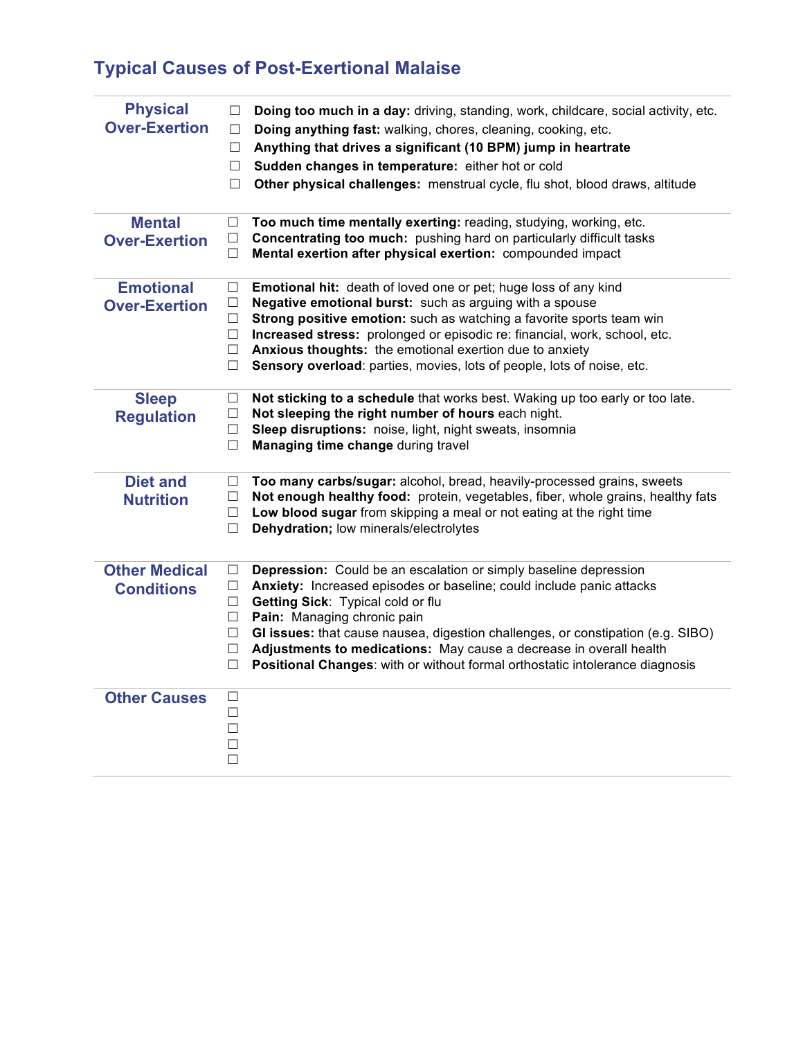## **Typical Causes of Post-Exertional Malaise**

| <b>Physical</b><br><b>Over-Exertion</b>   | Doing too much in a day: driving, standing, work, childcare, social activity, etc.<br>$\Box$<br>Doing anything fast: walking, chores, cleaning, cooking, etc.<br>$\Box$<br>Anything that drives a significant (10 BPM) jump in heartrate<br>$\Box$<br>Sudden changes in temperature: either hot or cold<br>$\Box$<br>Other physical challenges: menstrual cycle, flu shot, blood draws, altitude<br>□                                                                                                        |
|-------------------------------------------|--------------------------------------------------------------------------------------------------------------------------------------------------------------------------------------------------------------------------------------------------------------------------------------------------------------------------------------------------------------------------------------------------------------------------------------------------------------------------------------------------------------|
| <b>Mental</b><br><b>Over-Exertion</b>     | Too much time mentally exerting: reading, studying, working, etc.<br>□<br>Concentrating too much: pushing hard on particularly difficult tasks<br>$\Box$<br>Mental exertion after physical exertion: compounded impact<br>$\Box$                                                                                                                                                                                                                                                                             |
| <b>Emotional</b><br><b>Over-Exertion</b>  | Emotional hit: death of loved one or pet; huge loss of any kind<br>$\Box$<br>Negative emotional burst: such as arguing with a spouse<br>$\Box$<br>Strong positive emotion: such as watching a favorite sports team win<br>$\Box$<br>Increased stress: prolonged or episodic re: financial, work, school, etc.<br>$\Box$<br>Anxious thoughts: the emotional exertion due to anxiety<br>$\Box$<br>Sensory overload: parties, movies, lots of people, lots of noise, etc.<br>□                                  |
| <b>Sleep</b><br><b>Regulation</b>         | Not sticking to a schedule that works best. Waking up too early or too late.<br>$\Box$<br>Not sleeping the right number of hours each night.<br>$\Box$<br>Sleep disruptions: noise, light, night sweats, insomnia<br>$\Box$<br>$\Box$<br>Managing time change during travel                                                                                                                                                                                                                                  |
| <b>Diet and</b><br><b>Nutrition</b>       | Too many carbs/sugar: alcohol, bread, heavily-processed grains, sweets<br>$\Box$<br>Not enough healthy food: protein, vegetables, fiber, whole grains, healthy fats<br>$\Box$<br>Low blood sugar from skipping a meal or not eating at the right time<br>$\Box$<br>Dehydration; low minerals/electrolytes<br>□                                                                                                                                                                                               |
| <b>Other Medical</b><br><b>Conditions</b> | Depression: Could be an escalation or simply baseline depression<br>$\Box$<br>Anxiety: Increased episodes or baseline; could include panic attacks<br>□<br>Getting Sick: Typical cold or flu<br>$\Box$<br>Pain: Managing chronic pain<br>$\Box$<br>GI issues: that cause nausea, digestion challenges, or constipation (e.g. SIBO)<br>$\Box$<br>Adjustments to medications: May cause a decrease in overall health<br>□<br>Positional Changes: with or without formal orthostatic intolerance diagnosis<br>□ |
| <b>Other Causes</b>                       | $\Box$<br>$\Box$<br>$\Box$<br>$\Box$<br>$\Box$                                                                                                                                                                                                                                                                                                                                                                                                                                                               |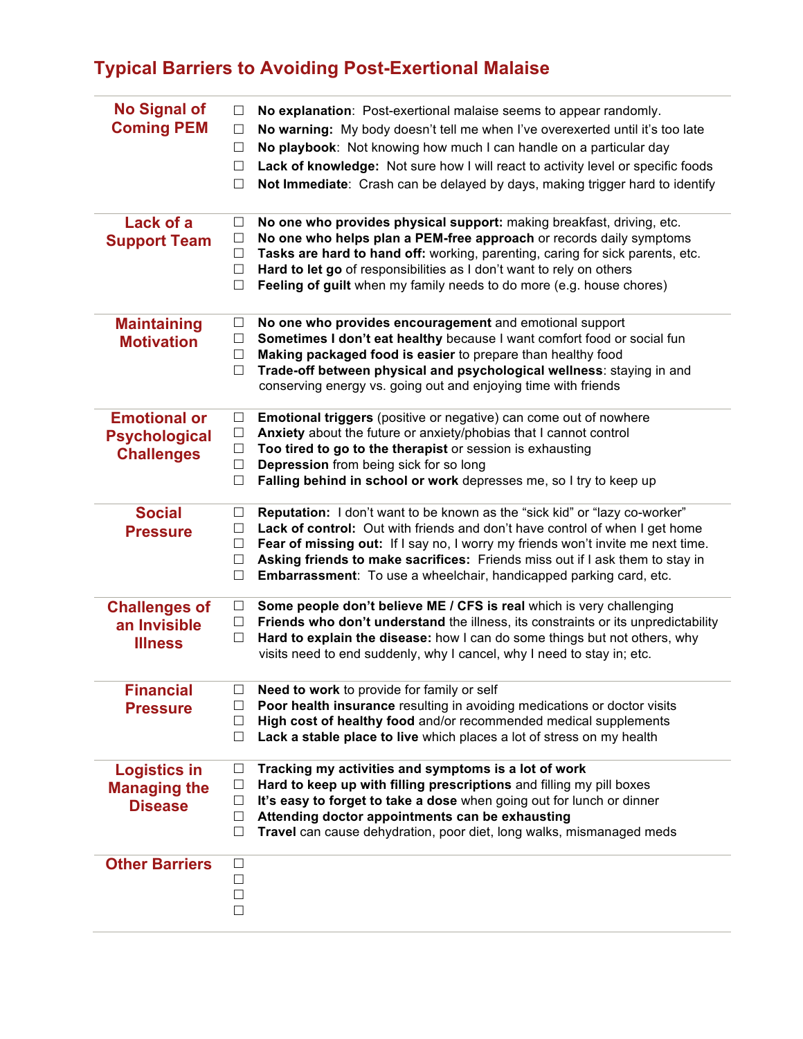## **Typical Barriers to Avoiding Post-Exertional Malaise**

| <b>No Signal of</b><br><b>Coming PEM</b>                         | No explanation: Post-exertional malaise seems to appear randomly.<br>$\Box$<br>No warning: My body doesn't tell me when I've overexerted until it's too late<br>$\Box$<br>No playbook: Not knowing how much I can handle on a particular day<br>$\Box$<br>Lack of knowledge: Not sure how I will react to activity level or specific foods<br>$\Box$<br>Not Immediate: Crash can be delayed by days, making trigger hard to identify<br>$\Box$       |
|------------------------------------------------------------------|------------------------------------------------------------------------------------------------------------------------------------------------------------------------------------------------------------------------------------------------------------------------------------------------------------------------------------------------------------------------------------------------------------------------------------------------------|
| Lack of a<br><b>Support Team</b>                                 | No one who provides physical support: making breakfast, driving, etc.<br>$\Box$<br>No one who helps plan a PEM-free approach or records daily symptoms<br>$\Box$<br>Tasks are hard to hand off: working, parenting, caring for sick parents, etc.<br>$\Box$<br>Hard to let go of responsibilities as I don't want to rely on others<br>$\Box$<br>Feeling of guilt when my family needs to do more (e.g. house chores)<br>$\Box$                      |
| <b>Maintaining</b><br><b>Motivation</b>                          | No one who provides encouragement and emotional support<br>$\Box$<br>Sometimes I don't eat healthy because I want comfort food or social fun<br>$\Box$<br>Making packaged food is easier to prepare than healthy food<br>$\Box$<br>Trade-off between physical and psychological wellness: staying in and<br>$\Box$<br>conserving energy vs. going out and enjoying time with friends                                                                 |
| <b>Emotional or</b><br><b>Psychological</b><br><b>Challenges</b> | <b>Emotional triggers</b> (positive or negative) can come out of nowhere<br>$\Box$<br>Anxiety about the future or anxiety/phobias that I cannot control<br>$\Box$<br>Too tired to go to the therapist or session is exhausting<br>$\Box$<br><b>Depression</b> from being sick for so long<br>П<br>Falling behind in school or work depresses me, so I try to keep up<br>$\Box$                                                                       |
| <b>Social</b><br><b>Pressure</b>                                 | Reputation: I don't want to be known as the "sick kid" or "lazy co-worker"<br>$\Box$<br>Lack of control: Out with friends and don't have control of when I get home<br>$\Box$<br>Fear of missing out: If I say no, I worry my friends won't invite me next time.<br>$\Box$<br>Asking friends to make sacrifices: Friends miss out if I ask them to stay in<br>$\Box$<br>Embarrassment: To use a wheelchair, handicapped parking card, etc.<br>$\Box$ |
| <b>Challenges of</b><br>an Invisible<br><b>Illness</b>           | Some people don't believe ME / CFS is real which is very challenging<br>$\Box$<br>Friends who don't understand the illness, its constraints or its unpredictability<br>$\Box$<br>Hard to explain the disease: how I can do some things but not others, why<br>$\Box$<br>visits need to end suddenly, why I cancel, why I need to stay in; etc.                                                                                                       |
| <b>Financial</b><br><b>Pressure</b>                              | Need to work to provide for family or self<br>Poor health insurance resulting in avoiding medications or doctor visits<br>High cost of healthy food and/or recommended medical supplements<br>$\Box$<br>Lack a stable place to live which places a lot of stress on my health<br>$\Box$                                                                                                                                                              |
| <b>Logistics in</b><br><b>Managing the</b><br><b>Disease</b>     | Tracking my activities and symptoms is a lot of work<br>⊔<br>Hard to keep up with filling prescriptions and filling my pill boxes<br>Ш<br>It's easy to forget to take a dose when going out for lunch or dinner<br>Ш<br>Attending doctor appointments can be exhausting<br>⊔<br>Travel can cause dehydration, poor diet, long walks, mismanaged meds<br>$\Box$                                                                                       |
| <b>Other Barriers</b>                                            | $\Box$<br>$\Box$<br>$\Box$<br>□                                                                                                                                                                                                                                                                                                                                                                                                                      |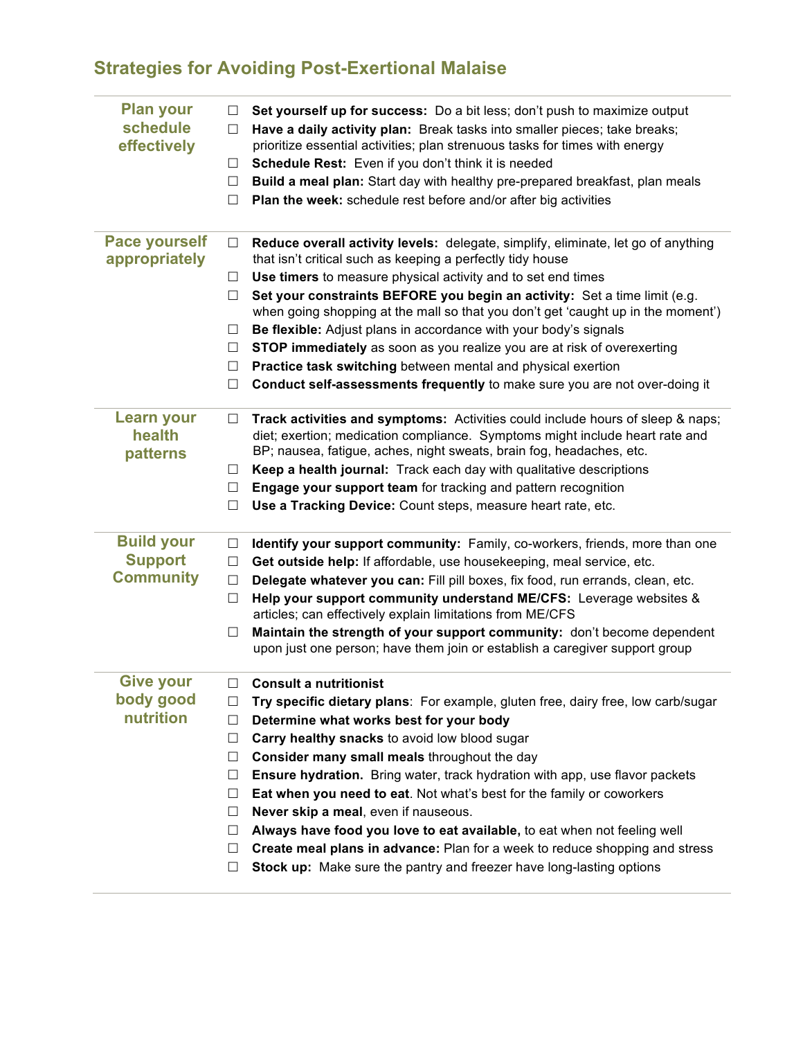## **Strategies for Avoiding Post-Exertional Malaise**

| <b>Plan your</b><br>schedule<br>effectively             | ப<br>□<br>ш<br>$\Box$<br>□                                                             | Set yourself up for success: Do a bit less; don't push to maximize output<br>Have a daily activity plan: Break tasks into smaller pieces; take breaks;<br>prioritize essential activities; plan strenuous tasks for times with energy<br>Schedule Rest: Even if you don't think it is needed<br>Build a meal plan: Start day with healthy pre-prepared breakfast, plan meals<br>Plan the week: schedule rest before and/or after big activities                                                                                                                                                                                                                                                  |
|---------------------------------------------------------|----------------------------------------------------------------------------------------|--------------------------------------------------------------------------------------------------------------------------------------------------------------------------------------------------------------------------------------------------------------------------------------------------------------------------------------------------------------------------------------------------------------------------------------------------------------------------------------------------------------------------------------------------------------------------------------------------------------------------------------------------------------------------------------------------|
| <b>Pace yourself</b><br>appropriately                   | $\Box$<br>⊔<br>$\Box$<br>ш<br>$\Box$<br>$\Box$                                         | Reduce overall activity levels: delegate, simplify, eliminate, let go of anything<br>that isn't critical such as keeping a perfectly tidy house<br>Use timers to measure physical activity and to set end times<br>Set your constraints BEFORE you begin an activity: Set a time limit (e.g.<br>when going shopping at the mall so that you don't get 'caught up in the moment')<br>Be flexible: Adjust plans in accordance with your body's signals<br>STOP immediately as soon as you realize you are at risk of overexerting<br>Practice task switching between mental and physical exertion                                                                                                  |
|                                                         | □                                                                                      | Conduct self-assessments frequently to make sure you are not over-doing it                                                                                                                                                                                                                                                                                                                                                                                                                                                                                                                                                                                                                       |
| <b>Learn your</b><br>health<br>patterns                 | □<br>ப<br>Ш<br>$\Box$                                                                  | Track activities and symptoms: Activities could include hours of sleep & naps;<br>diet; exertion; medication compliance. Symptoms might include heart rate and<br>BP; nausea, fatigue, aches, night sweats, brain fog, headaches, etc.<br>Keep a health journal: Track each day with qualitative descriptions<br>Engage your support team for tracking and pattern recognition<br>Use a Tracking Device: Count steps, measure heart rate, etc.                                                                                                                                                                                                                                                   |
| <b>Build your</b><br><b>Support</b><br><b>Community</b> | ப<br>$\Box$<br>$\Box$<br>ш<br>□                                                        | Identify your support community: Family, co-workers, friends, more than one<br>Get outside help: If affordable, use housekeeping, meal service, etc.<br>Delegate whatever you can: Fill pill boxes, fix food, run errands, clean, etc.<br>Help your support community understand ME/CFS: Leverage websites &<br>articles; can effectively explain limitations from ME/CFS<br>Maintain the strength of your support community: don't become dependent<br>upon just one person; have them join or establish a caregiver support group                                                                                                                                                              |
| <b>Give your</b><br>body good<br>nutrition              | □<br>$\Box$<br>⊔<br>$\Box$<br>$\Box$<br>$\Box$<br>$\Box$<br>$\Box$<br>⊔<br>$\Box$<br>□ | <b>Consult a nutritionist</b><br>Try specific dietary plans: For example, gluten free, dairy free, low carb/sugar<br>Determine what works best for your body<br>Carry healthy snacks to avoid low blood sugar<br>Consider many small meals throughout the day<br>Ensure hydration. Bring water, track hydration with app, use flavor packets<br>Eat when you need to eat. Not what's best for the family or coworkers<br>Never skip a meal, even if nauseous.<br>Always have food you love to eat available, to eat when not feeling well<br>Create meal plans in advance: Plan for a week to reduce shopping and stress<br>Stock up: Make sure the pantry and freezer have long-lasting options |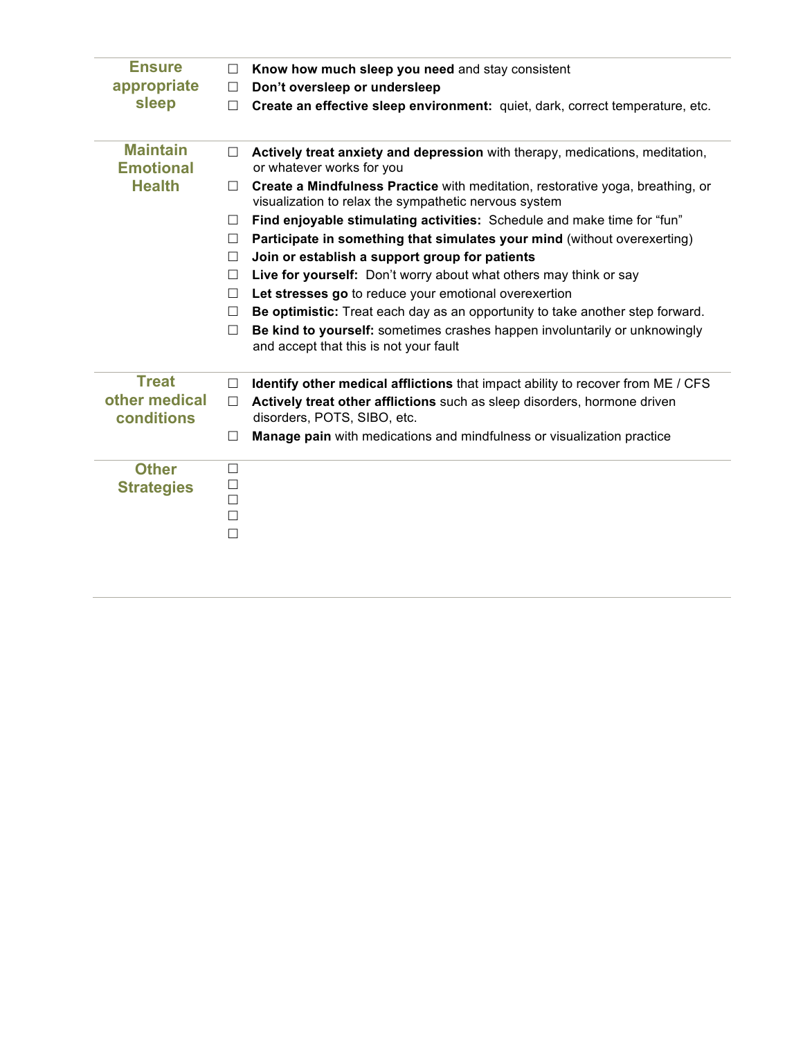| <b>Ensure</b>                       | □                                         | Know how much sleep you need and stay consistent                                                                                        |
|-------------------------------------|-------------------------------------------|-----------------------------------------------------------------------------------------------------------------------------------------|
| appropriate                         | □                                         | Don't oversleep or undersleep                                                                                                           |
| sleep                               | П                                         | Create an effective sleep environment: quiet, dark, correct temperature, etc.                                                           |
|                                     |                                           |                                                                                                                                         |
| <b>Maintain</b><br><b>Emotional</b> | □                                         | Actively treat anxiety and depression with therapy, medications, meditation,<br>or whatever works for you                               |
| <b>Health</b>                       | П                                         | Create a Mindfulness Practice with meditation, restorative yoga, breathing, or<br>visualization to relax the sympathetic nervous system |
|                                     | П                                         | Find enjoyable stimulating activities: Schedule and make time for "fun"                                                                 |
|                                     | $\Box$                                    | Participate in something that simulates your mind (without overexerting)                                                                |
|                                     | $\Box$                                    | Join or establish a support group for patients                                                                                          |
|                                     | □                                         | Live for yourself: Don't worry about what others may think or say                                                                       |
|                                     | □                                         | Let stresses go to reduce your emotional overexertion                                                                                   |
|                                     | П                                         | Be optimistic: Treat each day as an opportunity to take another step forward.                                                           |
|                                     | $\Box$                                    | Be kind to yourself: sometimes crashes happen involuntarily or unknowingly                                                              |
|                                     |                                           | and accept that this is not your fault                                                                                                  |
| <b>Treat</b>                        | $\Box$                                    | Identify other medical afflictions that impact ability to recover from ME / CFS                                                         |
| other medical<br>conditions         | □                                         | Actively treat other afflictions such as sleep disorders, hormone driven<br>disorders, POTS, SIBO, etc.                                 |
|                                     | □                                         | Manage pain with medications and mindfulness or visualization practice                                                                  |
| <b>Other</b><br><b>Strategies</b>   | $\Box$<br>$\Box$<br>□<br>$\Box$<br>$\Box$ |                                                                                                                                         |
|                                     |                                           |                                                                                                                                         |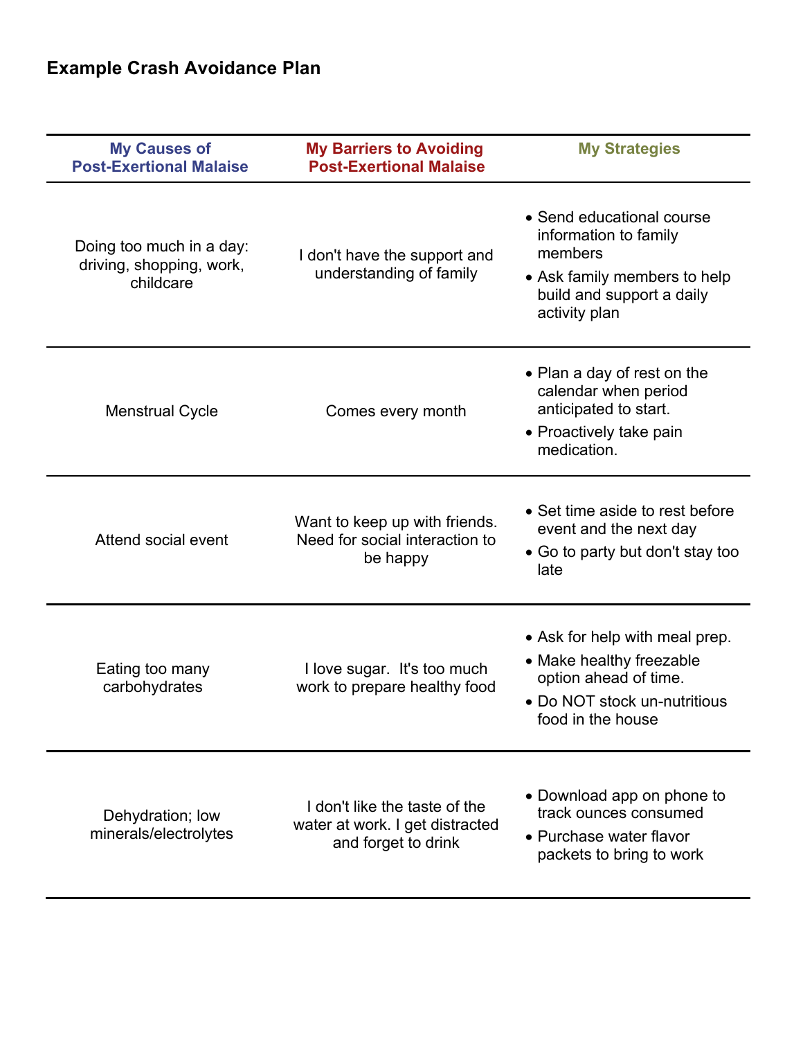| <b>My Causes of</b><br><b>Post-Exertional Malaise</b>             | <b>My Barriers to Avoiding</b><br><b>Post-Exertional Malaise</b>                        | <b>My Strategies</b>                                                                                                                        |
|-------------------------------------------------------------------|-----------------------------------------------------------------------------------------|---------------------------------------------------------------------------------------------------------------------------------------------|
| Doing too much in a day:<br>driving, shopping, work,<br>childcare | I don't have the support and<br>understanding of family                                 | • Send educational course<br>information to family<br>members<br>• Ask family members to help<br>build and support a daily<br>activity plan |
| <b>Menstrual Cycle</b>                                            | Comes every month                                                                       | • Plan a day of rest on the<br>calendar when period<br>anticipated to start.<br>• Proactively take pain<br>medication.                      |
| Attend social event                                               | Want to keep up with friends.<br>Need for social interaction to<br>be happy             | • Set time aside to rest before<br>event and the next day<br>• Go to party but don't stay too<br>late                                       |
| Eating too many<br>carbohydrates                                  | I love sugar. It's too much<br>work to prepare healthy food                             | • Ask for help with meal prep.<br>• Make healthy freezable<br>option ahead of time.<br>• Do NOT stock un-nutritious<br>food in the house    |
| Dehydration; low<br>minerals/electrolytes                         | I don't like the taste of the<br>water at work. I get distracted<br>and forget to drink | • Download app on phone to<br>track ounces consumed<br>• Purchase water flavor<br>packets to bring to work                                  |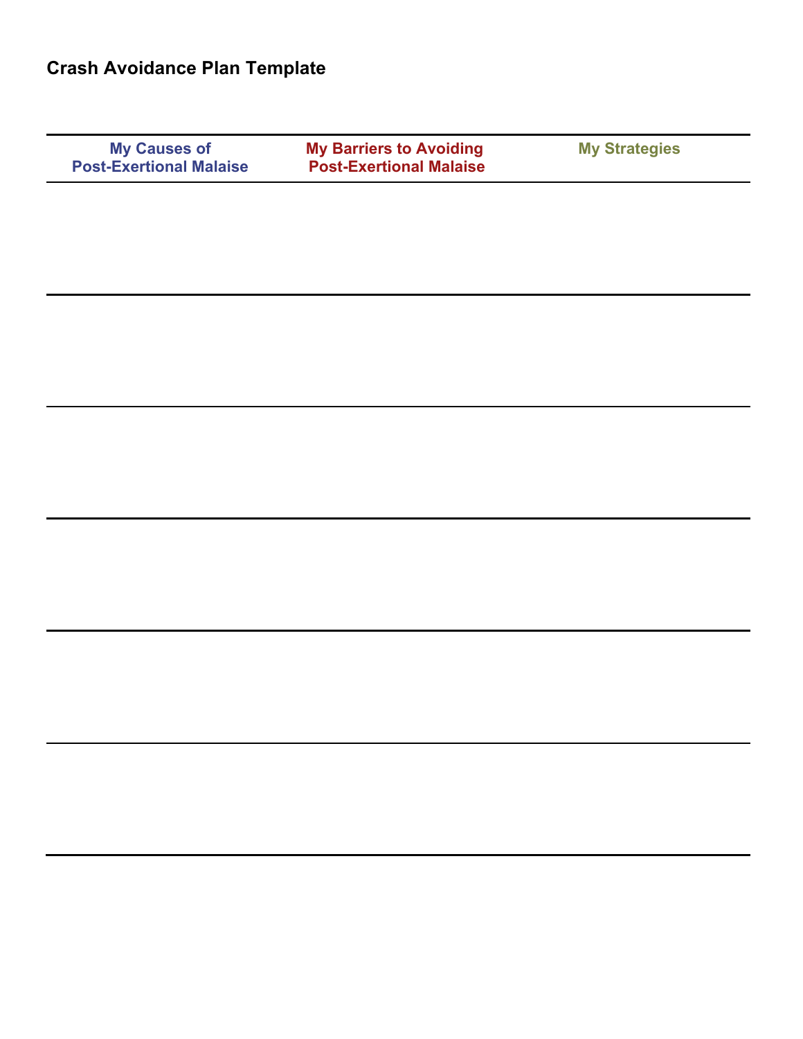|--|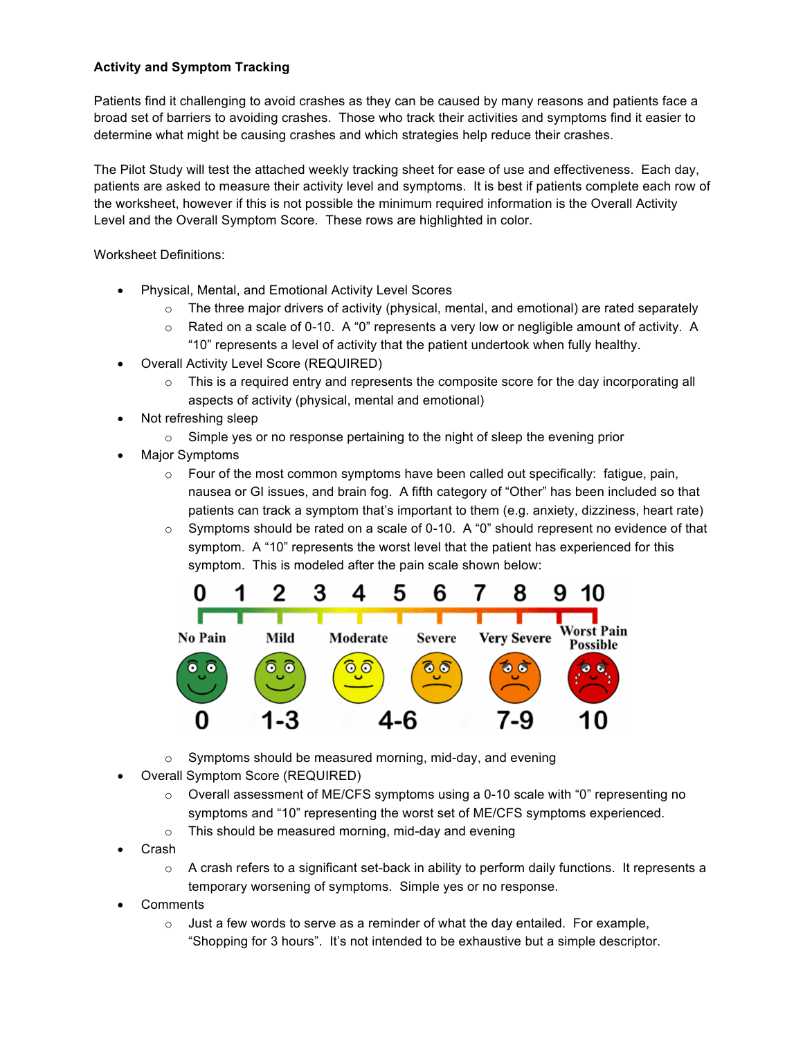### **Activity and Symptom Tracking**

Patients find it challenging to avoid crashes as they can be caused by many reasons and patients face a broad set of barriers to avoiding crashes. Those who track their activities and symptoms find it easier to determine what might be causing crashes and which strategies help reduce their crashes.

The Pilot Study will test the attached weekly tracking sheet for ease of use and effectiveness. Each day, patients are asked to measure their activity level and symptoms. It is best if patients complete each row of the worksheet, however if this is not possible the minimum required information is the Overall Activity Level and the Overall Symptom Score. These rows are highlighted in color.

Worksheet Definitions:

- Physical, Mental, and Emotional Activity Level Scores
	- $\circ$  The three major drivers of activity (physical, mental, and emotional) are rated separately
	- $\circ$  Rated on a scale of 0-10. A "0" represents a very low or negligible amount of activity. A "10" represents a level of activity that the patient undertook when fully healthy.
- Overall Activity Level Score (REQUIRED)
	- $\circ$  This is a required entry and represents the composite score for the day incorporating all aspects of activity (physical, mental and emotional)
- Not refreshing sleep
	- $\circ$  Simple yes or no response pertaining to the night of sleep the evening prior
- Major Symptoms
	- $\circ$  Four of the most common symptoms have been called out specifically: fatigue, pain, nausea or GI issues, and brain fog. A fifth category of "Other" has been included so that patients can track a symptom that's important to them (e.g. anxiety, dizziness, heart rate)
	- $\circ$  Symptoms should be rated on a scale of 0-10. A "0" should represent no evidence of that symptom. A "10" represents the worst level that the patient has experienced for this symptom. This is modeled after the pain scale shown below:



- o Symptoms should be measured morning, mid-day, and evening
- Overall Symptom Score (REQUIRED)
	- o Overall assessment of ME/CFS symptoms using a 0-10 scale with "0" representing no symptoms and "10" representing the worst set of ME/CFS symptoms experienced.
	- o This should be measured morning, mid-day and evening
- Crash
	- $\circ$  A crash refers to a significant set-back in ability to perform daily functions. It represents a temporary worsening of symptoms. Simple yes or no response.
- **Comments** 
	- o Just a few words to serve as a reminder of what the day entailed. For example, "Shopping for 3 hours". It's not intended to be exhaustive but a simple descriptor.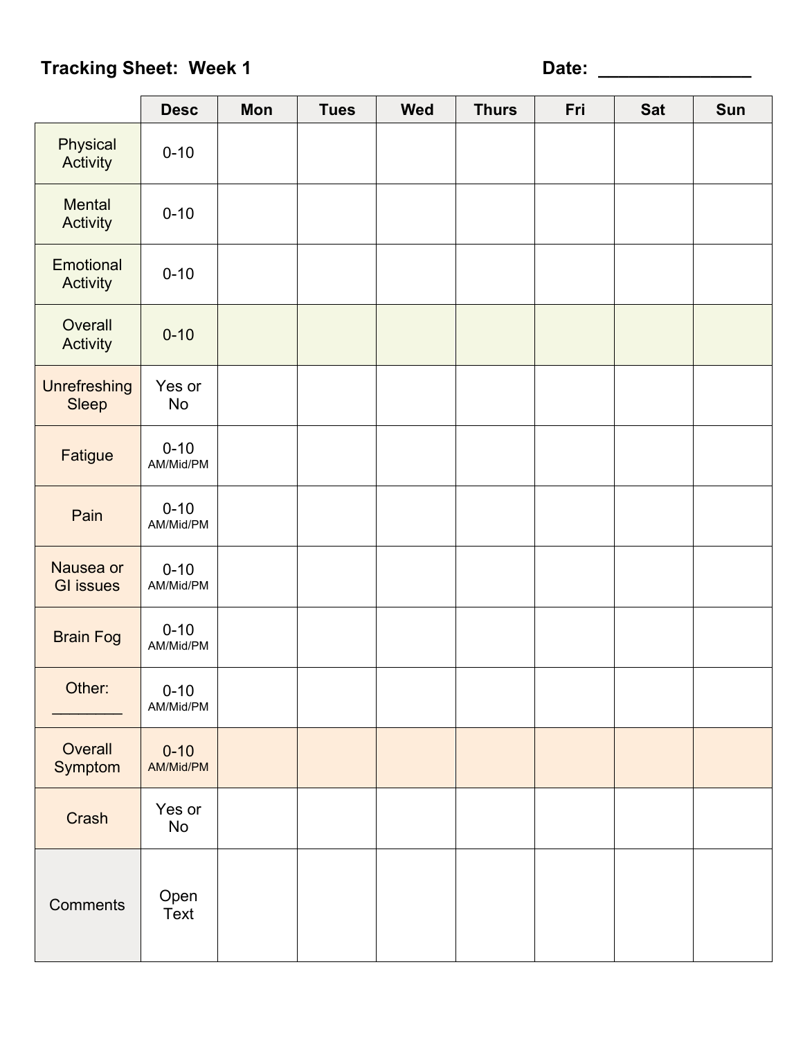| . .<br>× |  |
|----------|--|

|                               | <b>Desc</b>           | Mon | <b>Tues</b> | <b>Wed</b> | <b>Thurs</b> | Fri | <b>Sat</b> | Sun |
|-------------------------------|-----------------------|-----|-------------|------------|--------------|-----|------------|-----|
| Physical<br>Activity          | $0 - 10$              |     |             |            |              |     |            |     |
| Mental<br>Activity            | $0 - 10$              |     |             |            |              |     |            |     |
| Emotional<br>Activity         | $0 - 10$              |     |             |            |              |     |            |     |
| Overall<br>Activity           | $0 - 10$              |     |             |            |              |     |            |     |
| Unrefreshing<br>Sleep         | Yes or<br>No          |     |             |            |              |     |            |     |
| Fatigue                       | $0 - 10$<br>AM/Mid/PM |     |             |            |              |     |            |     |
| Pain                          | $0 - 10$<br>AM/Mid/PM |     |             |            |              |     |            |     |
| Nausea or<br><b>GI</b> issues | $0 - 10$<br>AM/Mid/PM |     |             |            |              |     |            |     |
| <b>Brain Fog</b>              | $0 - 10$<br>AM/Mid/PM |     |             |            |              |     |            |     |
| Other:                        | $0 - 10$<br>AM/Mid/PM |     |             |            |              |     |            |     |
| Overall<br>Symptom            | $0 - 10$<br>AM/Mid/PM |     |             |            |              |     |            |     |
| Crash                         | Yes or<br>No          |     |             |            |              |     |            |     |
| Comments                      | Open<br>Text          |     |             |            |              |     |            |     |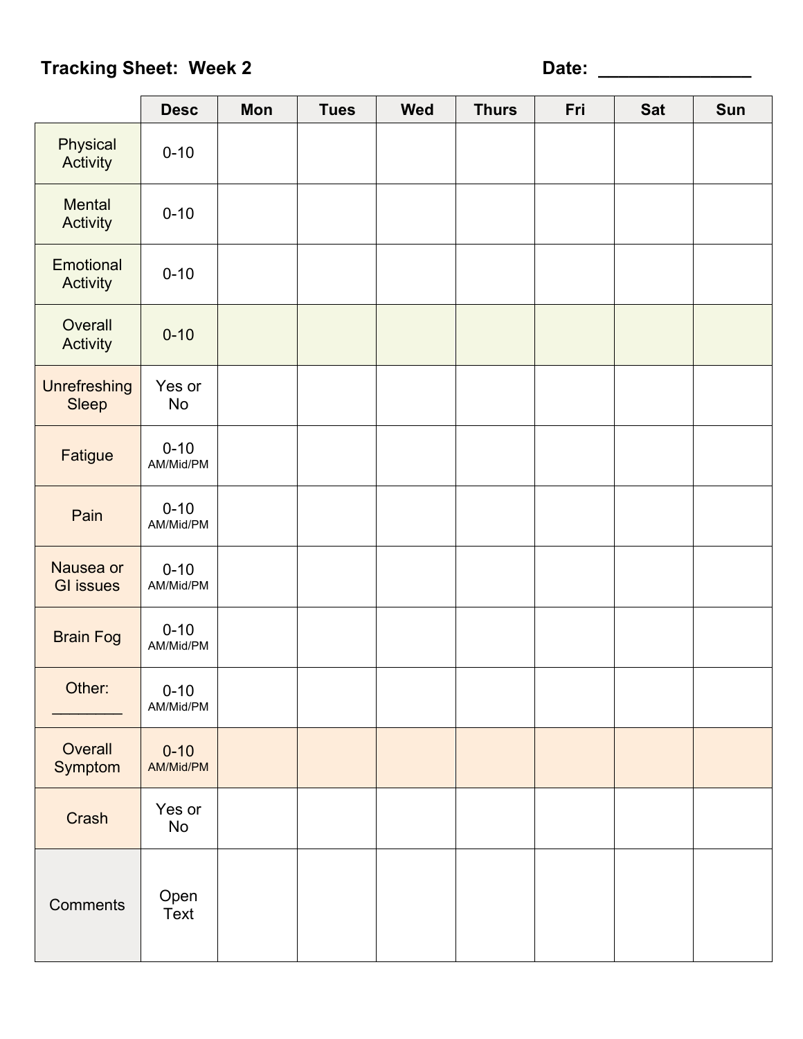| . .<br>۰ | ۰ |
|----------|---|

|                               | <b>Desc</b>           | Mon | <b>Tues</b> | <b>Wed</b> | <b>Thurs</b> | Fri | <b>Sat</b> | Sun |
|-------------------------------|-----------------------|-----|-------------|------------|--------------|-----|------------|-----|
| Physical<br>Activity          | $0 - 10$              |     |             |            |              |     |            |     |
| Mental<br>Activity            | $0 - 10$              |     |             |            |              |     |            |     |
| Emotional<br>Activity         | $0 - 10$              |     |             |            |              |     |            |     |
| Overall<br>Activity           | $0 - 10$              |     |             |            |              |     |            |     |
| <b>Unrefreshing</b><br>Sleep  | Yes or<br><b>No</b>   |     |             |            |              |     |            |     |
| Fatigue                       | $0 - 10$<br>AM/Mid/PM |     |             |            |              |     |            |     |
| Pain                          | $0 - 10$<br>AM/Mid/PM |     |             |            |              |     |            |     |
| Nausea or<br><b>GI</b> issues | $0 - 10$<br>AM/Mid/PM |     |             |            |              |     |            |     |
| <b>Brain Fog</b>              | $0 - 10$<br>AM/Mid/PM |     |             |            |              |     |            |     |
| Other:                        | $0 - 10$<br>AM/Mid/PM |     |             |            |              |     |            |     |
| Overall<br>Symptom            | $0 - 10$<br>AM/Mid/PM |     |             |            |              |     |            |     |
| Crash                         | Yes or<br>No          |     |             |            |              |     |            |     |
| Comments                      | Open<br>Text          |     |             |            |              |     |            |     |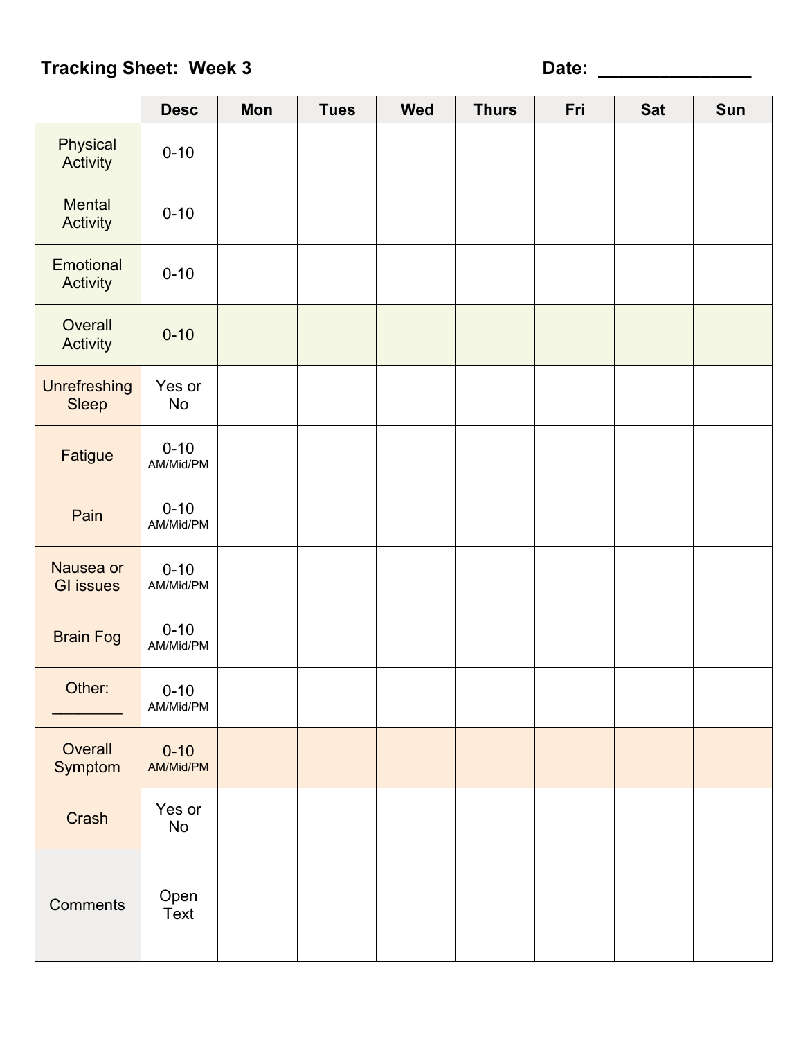| w<br>٧<br>۰, | ī |
|--------------|---|

|                               | <b>Desc</b>           | Mon | <b>Tues</b> | <b>Wed</b> | <b>Thurs</b> | Fri | <b>Sat</b> | Sun |
|-------------------------------|-----------------------|-----|-------------|------------|--------------|-----|------------|-----|
| Physical<br>Activity          | $0 - 10$              |     |             |            |              |     |            |     |
| Mental<br>Activity            | $0 - 10$              |     |             |            |              |     |            |     |
| Emotional<br>Activity         | $0 - 10$              |     |             |            |              |     |            |     |
| Overall<br>Activity           | $0 - 10$              |     |             |            |              |     |            |     |
| <b>Unrefreshing</b><br>Sleep  | Yes or<br><b>No</b>   |     |             |            |              |     |            |     |
| Fatigue                       | $0 - 10$<br>AM/Mid/PM |     |             |            |              |     |            |     |
| Pain                          | $0 - 10$<br>AM/Mid/PM |     |             |            |              |     |            |     |
| Nausea or<br><b>GI</b> issues | $0 - 10$<br>AM/Mid/PM |     |             |            |              |     |            |     |
| <b>Brain Fog</b>              | $0 - 10$<br>AM/Mid/PM |     |             |            |              |     |            |     |
| Other:                        | $0 - 10$<br>AM/Mid/PM |     |             |            |              |     |            |     |
| Overall<br>Symptom            | $0 - 10$<br>AM/Mid/PM |     |             |            |              |     |            |     |
| Crash                         | Yes or<br>No          |     |             |            |              |     |            |     |
| Comments                      | Open<br>Text          |     |             |            |              |     |            |     |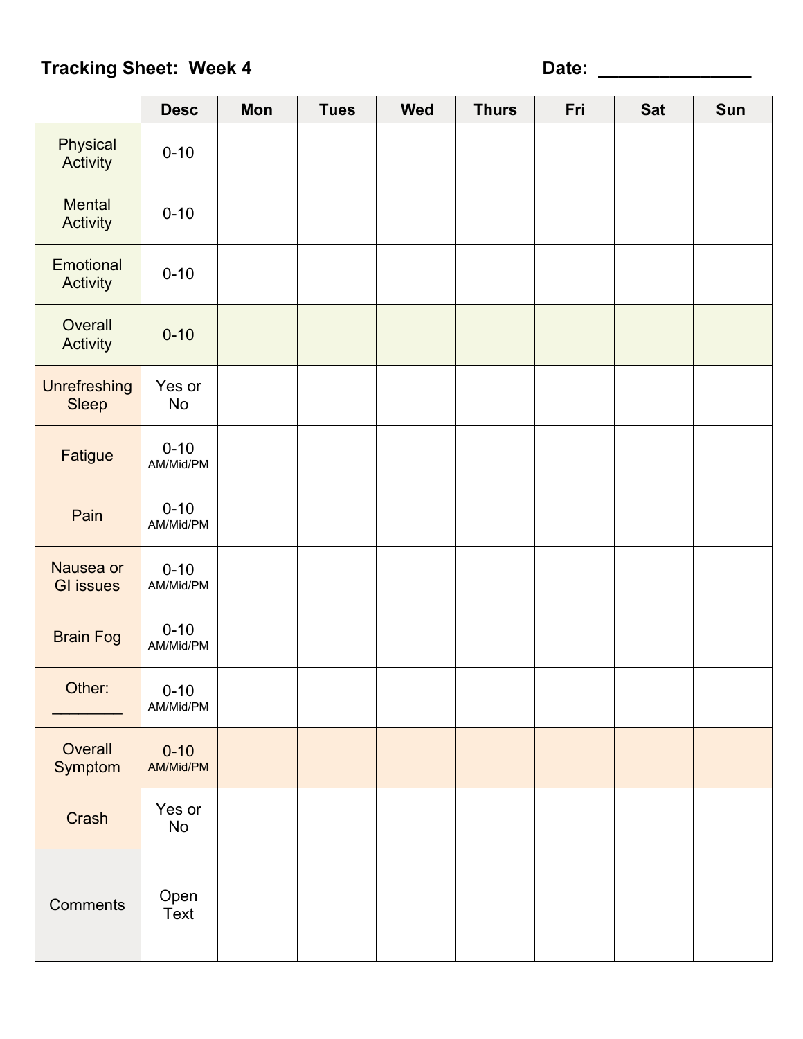| . .<br>۰ | ۰ |
|----------|---|

|                               | <b>Desc</b>           | Mon | <b>Tues</b> | <b>Wed</b> | <b>Thurs</b> | Fri | <b>Sat</b> | Sun |
|-------------------------------|-----------------------|-----|-------------|------------|--------------|-----|------------|-----|
| Physical<br>Activity          | $0 - 10$              |     |             |            |              |     |            |     |
| Mental<br>Activity            | $0 - 10$              |     |             |            |              |     |            |     |
| Emotional<br>Activity         | $0 - 10$              |     |             |            |              |     |            |     |
| Overall<br>Activity           | $0 - 10$              |     |             |            |              |     |            |     |
| <b>Unrefreshing</b><br>Sleep  | Yes or<br><b>No</b>   |     |             |            |              |     |            |     |
| Fatigue                       | $0 - 10$<br>AM/Mid/PM |     |             |            |              |     |            |     |
| Pain                          | $0 - 10$<br>AM/Mid/PM |     |             |            |              |     |            |     |
| Nausea or<br><b>GI</b> issues | $0 - 10$<br>AM/Mid/PM |     |             |            |              |     |            |     |
| <b>Brain Fog</b>              | $0 - 10$<br>AM/Mid/PM |     |             |            |              |     |            |     |
| Other:                        | $0 - 10$<br>AM/Mid/PM |     |             |            |              |     |            |     |
| Overall<br>Symptom            | $0 - 10$<br>AM/Mid/PM |     |             |            |              |     |            |     |
| Crash                         | Yes or<br>No          |     |             |            |              |     |            |     |
| Comments                      | Open<br>Text          |     |             |            |              |     |            |     |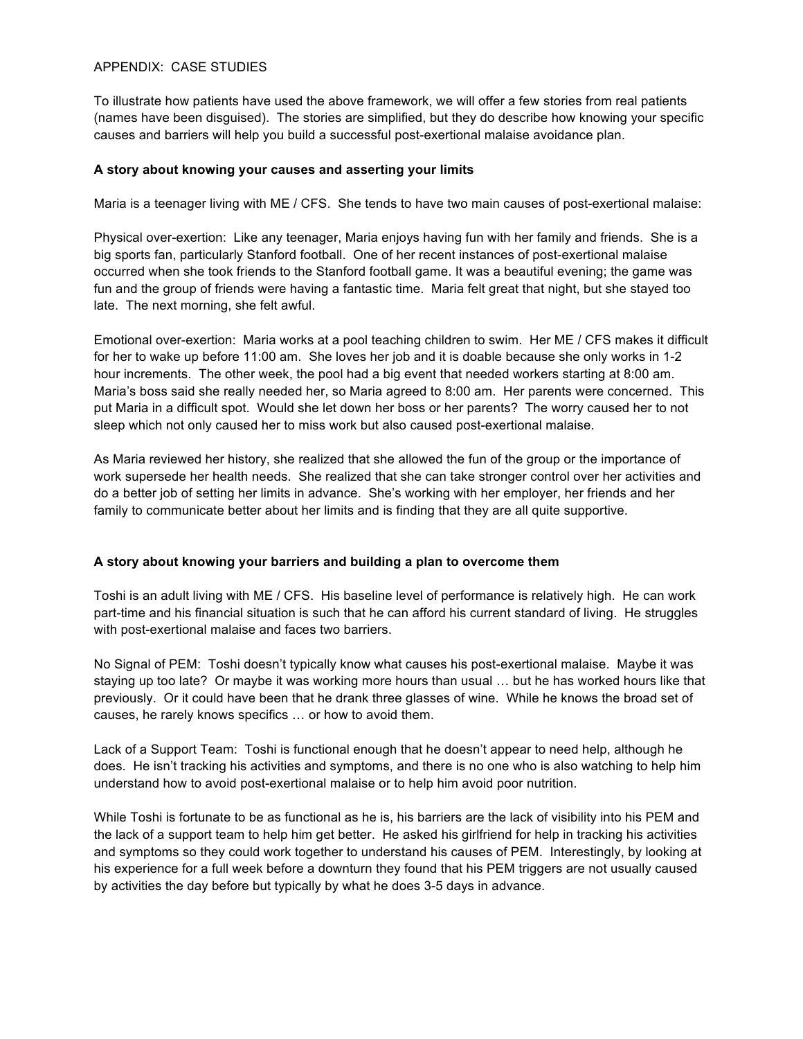### APPENDIX: CASE STUDIES

To illustrate how patients have used the above framework, we will offer a few stories from real patients (names have been disguised). The stories are simplified, but they do describe how knowing your specific causes and barriers will help you build a successful post-exertional malaise avoidance plan.

### **A story about knowing your causes and asserting your limits**

Maria is a teenager living with ME / CFS. She tends to have two main causes of post-exertional malaise:

Physical over-exertion: Like any teenager, Maria enjoys having fun with her family and friends. She is a big sports fan, particularly Stanford football. One of her recent instances of post-exertional malaise occurred when she took friends to the Stanford football game. It was a beautiful evening; the game was fun and the group of friends were having a fantastic time. Maria felt great that night, but she stayed too late. The next morning, she felt awful.

Emotional over-exertion: Maria works at a pool teaching children to swim. Her ME / CFS makes it difficult for her to wake up before 11:00 am. She loves her job and it is doable because she only works in 1-2 hour increments. The other week, the pool had a big event that needed workers starting at 8:00 am. Maria's boss said she really needed her, so Maria agreed to 8:00 am. Her parents were concerned. This put Maria in a difficult spot. Would she let down her boss or her parents? The worry caused her to not sleep which not only caused her to miss work but also caused post-exertional malaise.

As Maria reviewed her history, she realized that she allowed the fun of the group or the importance of work supersede her health needs. She realized that she can take stronger control over her activities and do a better job of setting her limits in advance. She's working with her employer, her friends and her family to communicate better about her limits and is finding that they are all quite supportive.

#### **A story about knowing your barriers and building a plan to overcome them**

Toshi is an adult living with ME / CFS. His baseline level of performance is relatively high. He can work part-time and his financial situation is such that he can afford his current standard of living. He struggles with post-exertional malaise and faces two barriers.

No Signal of PEM: Toshi doesn't typically know what causes his post-exertional malaise. Maybe it was staying up too late? Or maybe it was working more hours than usual … but he has worked hours like that previously. Or it could have been that he drank three glasses of wine. While he knows the broad set of causes, he rarely knows specifics … or how to avoid them.

Lack of a Support Team: Toshi is functional enough that he doesn't appear to need help, although he does. He isn't tracking his activities and symptoms, and there is no one who is also watching to help him understand how to avoid post-exertional malaise or to help him avoid poor nutrition.

While Toshi is fortunate to be as functional as he is, his barriers are the lack of visibility into his PEM and the lack of a support team to help him get better. He asked his girlfriend for help in tracking his activities and symptoms so they could work together to understand his causes of PEM. Interestingly, by looking at his experience for a full week before a downturn they found that his PEM triggers are not usually caused by activities the day before but typically by what he does 3-5 days in advance.